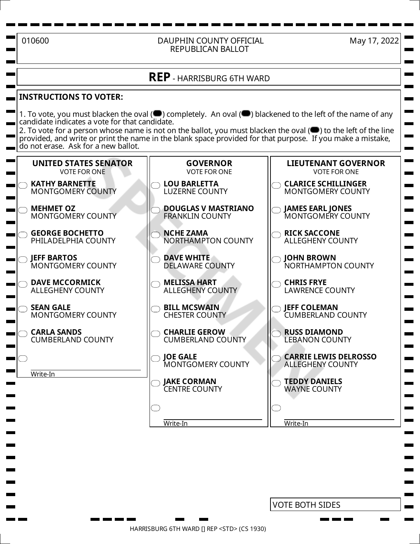## 010600 DAUPHIN COUNTY OFFICIAL REPUBLICAN BALLOT

May 17, 2022

## **REP** - HARRISBURG 6TH WARD

## **INSTRUCTIONS TO VOTER:**

1. To vote, you must blacken the oval  $(\blacksquare)$  completely. An oval  $(\blacksquare)$  blackened to the left of the name of any candidate indicates a vote for that candidate.

2. To vote for a person whose name is not on the ballot, you must blacken the oval  $($ **)** to the left of the line provided, and write or print the name in the blank space provided for that purpose. If you make a mistake, do not erase. Ask for a new ballot.